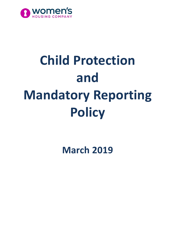

# **Child Protection and Mandatory Reporting Policy**

**March 2019**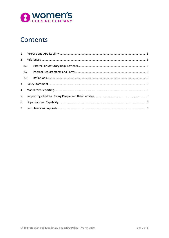

# Contents

| $2^{\circ}$    |             |  |  |
|----------------|-------------|--|--|
|                | 2.1         |  |  |
|                |             |  |  |
|                | 2.2         |  |  |
|                | 2.3         |  |  |
| 3              |             |  |  |
| 4              |             |  |  |
| 5 <sup>1</sup> |             |  |  |
| 6              |             |  |  |
|                | $7^{\circ}$ |  |  |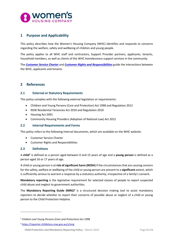

# <span id="page-2-0"></span>**1 Purpose and Applicability**

This policy describes how the Women's Housing Company (WHC) identifies and responds to concerns regarding the welfare, safety and wellbeing of children and young people.

The policy applies to all WHC staff and contractors, Support Provider partners, applicants, tenants, household members, as well as clients of the WHC homelessness support services in the community.

The *[Customer Service Charter](http://www.womenshousingcompany.org.au/uploads/tenants/housing-services/Customer-Service-Charter-044752.pdf)* and *[Customer Rights and Responsibilities](http://www.womenshousingcompany.org.au/uploads/tenants/housing-services/Customer-Rights-and-Responsibilities-044804.pdf)* guide the interactions between the WHC, applicants and tenants.

### <span id="page-2-1"></span>**2 References**

#### <span id="page-2-2"></span>**2.1 External or Statutory Requirements**

This policy complies with the following external legislation or requirements:

- Children and Young Persons (Care and Protection) Act 1998 and Regulation 2012
- NSW Residential Tenancies Act 2010 and Regulation 2010
- Housing Act 2001
- Community Housing Providers (Adoption of National Law) Act 2012

#### <span id="page-2-3"></span>**2.2 Internal Requirements and Forms**

This policy refers to the following internal documents, which are available on the WHC website:

- Customer Service Charter
- Customer Rights and Responsibilities

#### <span id="page-2-4"></span>**2.3 Definitions**

 $\overline{a}$ 

A **child[1](#page-2-5)** is defined as a person aged between 0 and 15 years of age and a **young person** is defined as a person aged 16 or 17 years of age.

A child or young person is at **risk of significant harm (ROSH)** if the circumstances that are causing concern for the safety, welfare or wellbeing of the child or young person are present to a **significant** extent, which is sufficiently serious to warrant a response by a statutory authority, irrespective of a family's consent.

**Mandatory reporting** is the legislative requirement for selected classes of people to report suspected child abuse and neglect to government authorities.

The **Mandatory Reporting Guide (MRG)[2](#page-2-6)** is a structured decision making tool to assist mandatory reporters to decide whether to report their concerns of possible abuse or neglect of a child or young person to the Child Protection Helpline.

<span id="page-2-5"></span><sup>1</sup> *Children and Young Persons (Care and Protection) Act 1998*

<span id="page-2-6"></span><sup>2</sup> <https://reporter.childstory.nsw.gov.au/s/mrg>

**Child Protection and Mandatory Reporting Policy** – March 2019 Page **3** of **6**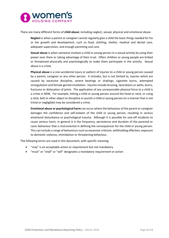

There are many different forms of **child abuse:** including neglect, sexual, physical and emotional abuse.

**Neglect** is when a parent or caregiver cannot regularly give a child the basic things needed for his or her growth and development, such as food, clothing, shelter, medical and dental care, adequate supervision, and enough parenting and care.

**Sexual abuse** is when someone involves a child or young person in a sexual activity by using their power over them or taking advantage of their trust. Often children or young people are bribed or threatened physically and psychologically to make them participate in the activity. Sexual abuse is a crime.

**Physical abuse** is a non-accidental injury or pattern of injuries to a child or young person caused by a parent, caregiver or any other person. It includes, but is not limited to, injuries which are caused by excessive discipline, severe beatings or shakings, cigarette burns, attempted strangulation and female genital mutilation. Injuries include bruising, lacerations or welts, burns, fractures or dislocation of joints. The application of any unreasonable physical force to a child is a crime in NSW, For example, hitting a child or young person around the head or neck, or using a stick, belt or other object to discipline or punish a child or young person (in a manner that is not trivial or negligible) may be considered a crime.

**Emotional abuse or psychological harm** can occur where the behaviour of the parent or caregiver damages the confidence and self-esteem of the child or young person, resulting in serious emotional disturbance or psychological trauma. Although it is possible for one-off incidents to cause serious harm, in general it is the frequency, persistence and duration of the parental or carer behaviour that is instrumental in defining the consequences for the child or young person. This can include a range of behaviours such as excessive criticism, withholding affection, exposure to domestic violence, intimidation or threatening behaviour.

The following terms are used in this document, with specific meaning:

- "may" is an acceptable action or requirement but not mandatory
- "must" or "shall" or "will" designates a mandatory requirement or action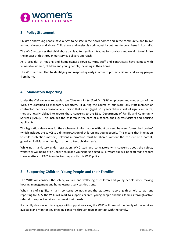

# <span id="page-4-0"></span>**3 Policy Statement**

Children and young people have a right to be safe in their own homes and in the community, and to live without violence and abuse. Child abuse and neglect is a crime, yet it continues to be an issue in Australia.

The WHC recognises that child abuse can lead to significant trauma for survivors and we aim to minimise the impact of this through our service delivery approach.

As a provider of housing and homelessness services, WHC staff and contractors have contact with vulnerable women, children and young people, including in their home.

The WHC is committed to identifying and responding early in order to protect children and young people from harm.

# <span id="page-4-1"></span>**4 Mandatory Reporting**

Under the *Children and Young Persons (Care and Protection) Act 1998*, employees and contractors of the WHC are classified as mandatory reporters. If during the course of our work, any staff member or contractor that has a reasonable suspicion that a child (aged 0-15 years old) is at risk of significant harm, they are legally obliged to report these concerns to the NSW Department of Family and Community Services (FACS). This includes the children in the care of a tenant, their guests/visitors and housing applicants.

This legislation also allows for the exchange of information, without consent, between 'prescribed bodies' (which includes the WHC) to aid the protection of children and young people. This means that in relation to child protection matters, relevant information must be shared without the consent of a parent, guardian, individual or family, in order to keep children safe.

While not mandatory under legislation, WHC staff and contractors with concerns about the safety, welfare or wellbeing of an unborn child or a young person aged 16-17 years old, will be required to report these matters to FACS in order to comply with this WHC policy.

# <span id="page-4-2"></span>**5 Supporting Children, Young People and their Families**

The WHC will consider the safety, welfare and wellbeing of children and young people when making housing management and homelessness services decisions.

When risk of significant harm concerns do not meet the statutory reporting threshold to warrant reporting to FACS, the WHC will work to support children, young people and their families through active referral to support services that meet their needs.

If a family chooses not to engage with support services, the WHC will remind the family of the services available and monitor any ongoing concerns through regular contact with the family.